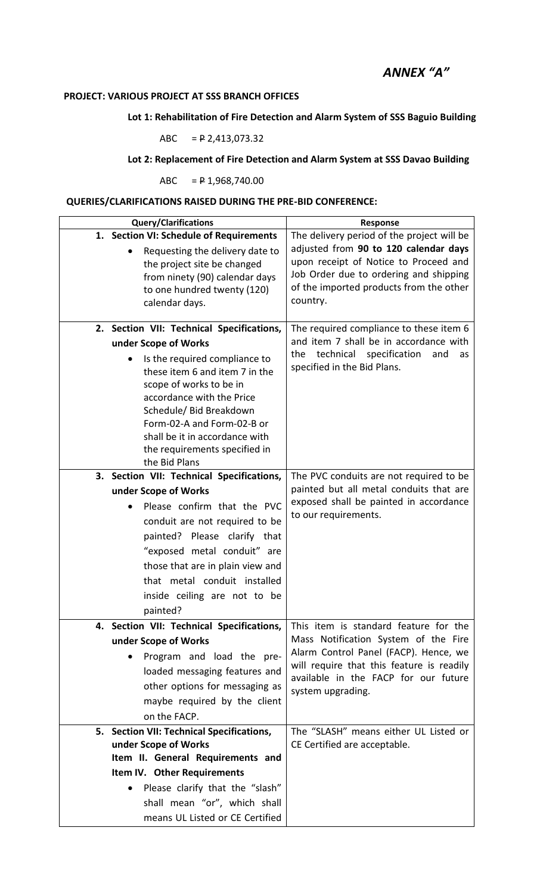# *ANNEX "A"*

## **PROJECT: VARIOUS PROJECT AT SSS BRANCH OFFICES**

#### **Lot 1: Rehabilitation of Fire Detection and Alarm System of SSS Baguio Building**

$$
ABC = P 2,413,073.32
$$

## **Lot 2: Replacement of Fire Detection and Alarm System at SSS Davao Building**

ABC = P 1,968,740.00

### **QUERIES/CLARIFICATIONS RAISED DURING THE PRE-BID CONFERENCE:**

| <b>Query/Clarifications</b>                           | Response                                                                                                               |  |
|-------------------------------------------------------|------------------------------------------------------------------------------------------------------------------------|--|
| 1. Section VI: Schedule of Requirements               | The delivery period of the project will be                                                                             |  |
| Requesting the delivery date to                       | adjusted from 90 to 120 calendar days                                                                                  |  |
| the project site be changed                           | upon receipt of Notice to Proceed and                                                                                  |  |
| from ninety (90) calendar days                        | Job Order due to ordering and shipping                                                                                 |  |
| to one hundred twenty (120)                           | of the imported products from the other<br>country.                                                                    |  |
| calendar days.                                        |                                                                                                                        |  |
| 2. Section VII: Technical Specifications,             | The required compliance to these item 6                                                                                |  |
| under Scope of Works                                  | and item 7 shall be in accordance with                                                                                 |  |
| Is the required compliance to                         | technical<br>specification<br>the<br>and<br>as                                                                         |  |
| these item 6 and item 7 in the                        | specified in the Bid Plans.                                                                                            |  |
| scope of works to be in                               |                                                                                                                        |  |
| accordance with the Price                             |                                                                                                                        |  |
| Schedule/ Bid Breakdown<br>Form-02-A and Form-02-B or |                                                                                                                        |  |
| shall be it in accordance with                        |                                                                                                                        |  |
| the requirements specified in                         |                                                                                                                        |  |
| the Bid Plans                                         |                                                                                                                        |  |
| 3. Section VII: Technical Specifications,             | The PVC conduits are not required to be                                                                                |  |
| under Scope of Works                                  | painted but all metal conduits that are                                                                                |  |
| Please confirm that the PVC                           | exposed shall be painted in accordance<br>to our requirements.                                                         |  |
| conduit are not required to be                        |                                                                                                                        |  |
| painted? Please clarify that                          |                                                                                                                        |  |
| "exposed metal conduit" are                           |                                                                                                                        |  |
| those that are in plain view and                      |                                                                                                                        |  |
| that metal conduit installed                          |                                                                                                                        |  |
| inside ceiling are not to be                          |                                                                                                                        |  |
| painted?                                              |                                                                                                                        |  |
| 4. Section VII: Technical Specifications,             | This item is standard feature for the<br>Mass Notification System of the Fire<br>Alarm Control Panel (FACP). Hence, we |  |
| under Scope of Works                                  |                                                                                                                        |  |
| Program and load the pre-                             | will require that this feature is readily                                                                              |  |
| loaded messaging features and                         | available in the FACP for our future                                                                                   |  |
| other options for messaging as                        | system upgrading.                                                                                                      |  |
| maybe required by the client                          |                                                                                                                        |  |
| on the FACP.                                          |                                                                                                                        |  |
| 5. Section VII: Technical Specifications,             | The "SLASH" means either UL Listed or                                                                                  |  |
| under Scope of Works                                  | CE Certified are acceptable.                                                                                           |  |
| Item II. General Requirements and                     |                                                                                                                        |  |
| Item IV. Other Requirements                           |                                                                                                                        |  |
| Please clarify that the "slash"                       |                                                                                                                        |  |
| shall mean "or", which shall                          |                                                                                                                        |  |
| means UL Listed or CE Certified                       |                                                                                                                        |  |